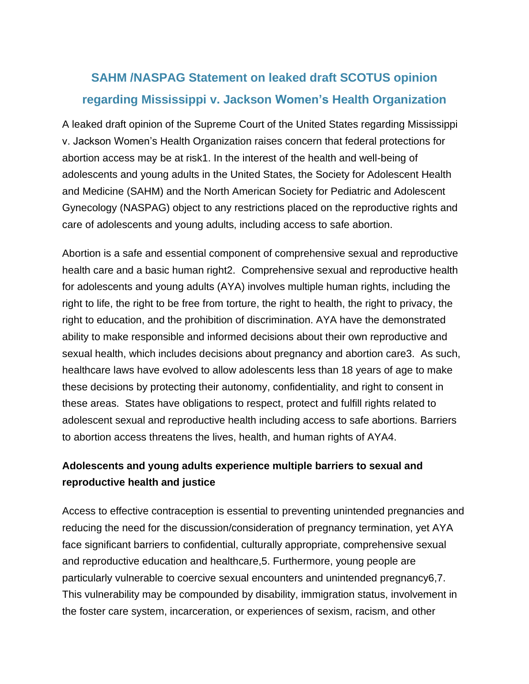# **SAHM /NASPAG Statement on leaked draft SCOTUS opinion regarding Mississippi v. Jackson Women's Health Organization**

A leaked draft opinion of the Supreme Court of the United States regarding Mississippi v. Jackson Women's Health Organization raises concern that federal protections for abortion access may be at risk1. In the interest of the health and well-being of adolescents and young adults in the United States, the Society for Adolescent Health and Medicine (SAHM) and the North American Society for Pediatric and Adolescent Gynecology (NASPAG) object to any restrictions placed on the reproductive rights and care of adolescents and young adults, including access to safe abortion.

Abortion is a safe and essential component of comprehensive sexual and reproductive health care and a basic human right2. Comprehensive sexual and reproductive health for adolescents and young adults (AYA) involves multiple human rights, including the right to life, the right to be free from torture, the right to health, the right to privacy, the right to education, and the prohibition of discrimination. AYA have the demonstrated ability to make responsible and informed decisions about their own reproductive and sexual health, which includes decisions about pregnancy and abortion care3. As such, healthcare laws have evolved to allow adolescents less than 18 years of age to make these decisions by protecting their autonomy, confidentiality, and right to consent in these areas. States have obligations to respect, protect and fulfill rights related to adolescent sexual and reproductive health including access to safe abortions. Barriers to abortion access threatens the lives, health, and human rights of AYA4.

## **Adolescents and young adults experience multiple barriers to sexual and reproductive health and justice**

Access to effective contraception is essential to preventing unintended pregnancies and reducing the need for the discussion/consideration of pregnancy termination, yet AYA face significant barriers to confidential, culturally appropriate, comprehensive sexual and reproductive education and healthcare,5. Furthermore, young people are particularly vulnerable to coercive sexual encounters and unintended pregnancy6,7. This vulnerability may be compounded by disability, immigration status, involvement in the foster care system, incarceration, or experiences of sexism, racism, and other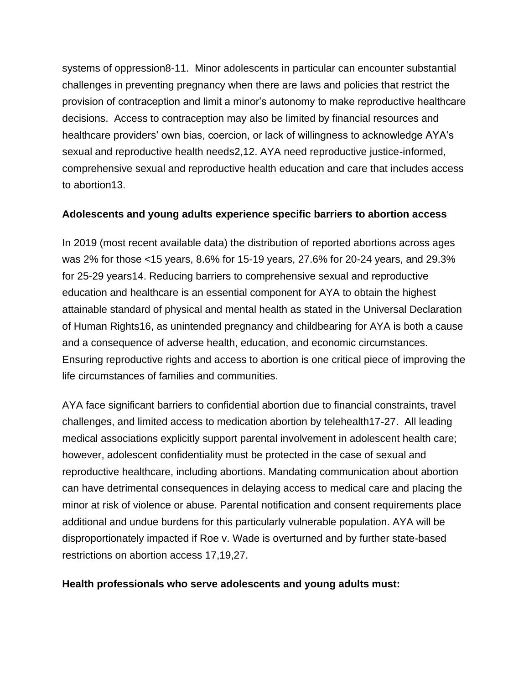systems of oppression8-11. Minor adolescents in particular can encounter substantial challenges in preventing pregnancy when there are laws and policies that restrict the provision of contraception and limit a minor's autonomy to make reproductive healthcare decisions. Access to contraception may also be limited by financial resources and healthcare providers' own bias, coercion, or lack of willingness to acknowledge AYA's sexual and reproductive health needs2,12. AYA need reproductive justice-informed, comprehensive sexual and reproductive health education and care that includes access to abortion13.

#### **Adolescents and young adults experience specific barriers to abortion access**

In 2019 (most recent available data) the distribution of reported abortions across ages was 2% for those <15 years, 8.6% for 15-19 years, 27.6% for 20-24 years, and 29.3% for 25-29 years14. Reducing barriers to comprehensive sexual and reproductive education and healthcare is an essential component for AYA to obtain the highest attainable standard of physical and mental health as stated in the Universal Declaration of Human Rights16, as unintended pregnancy and childbearing for AYA is both a cause and a consequence of adverse health, education, and economic circumstances. Ensuring reproductive rights and access to abortion is one critical piece of improving the life circumstances of families and communities.

AYA face significant barriers to confidential abortion due to financial constraints, travel challenges, and limited access to medication abortion by telehealth17-27. All leading medical associations explicitly support parental involvement in adolescent health care; however, adolescent confidentiality must be protected in the case of sexual and reproductive healthcare, including abortions. Mandating communication about abortion can have detrimental consequences in delaying access to medical care and placing the minor at risk of violence or abuse. Parental notification and consent requirements place additional and undue burdens for this particularly vulnerable population. AYA will be disproportionately impacted if Roe v. Wade is overturned and by further state-based restrictions on abortion access 17,19,27.

#### **Health professionals who serve adolescents and young adults must:**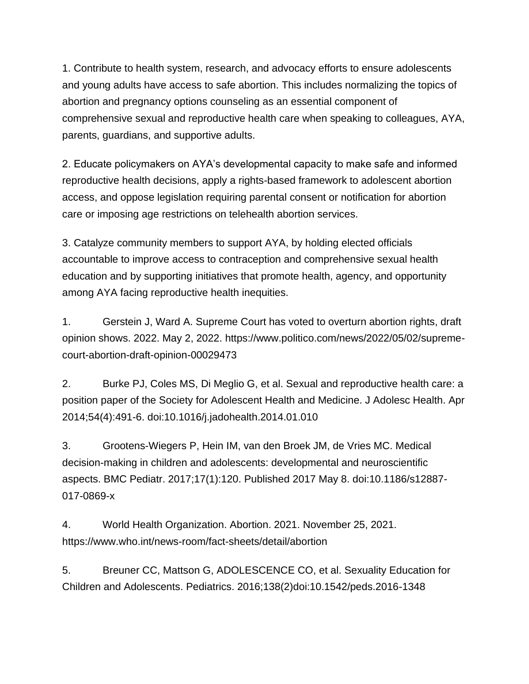1. Contribute to health system, research, and advocacy efforts to ensure adolescents and young adults have access to safe abortion. This includes normalizing the topics of abortion and pregnancy options counseling as an essential component of comprehensive sexual and reproductive health care when speaking to colleagues, AYA, parents, guardians, and supportive adults.

2. Educate policymakers on AYA's developmental capacity to make safe and informed reproductive health decisions, apply a rights-based framework to adolescent abortion access, and oppose legislation requiring parental consent or notification for abortion care or imposing age restrictions on telehealth abortion services.

3. Catalyze community members to support AYA, by holding elected officials accountable to improve access to contraception and comprehensive sexual health education and by supporting initiatives that promote health, agency, and opportunity among AYA facing reproductive health inequities.

1. Gerstein J, Ward A. Supreme Court has voted to overturn abortion rights, draft opinion shows. 2022. May 2, 2022. https://www.politico.com/news/2022/05/02/supremecourt-abortion-draft-opinion-00029473

2. Burke PJ, Coles MS, Di Meglio G, et al. Sexual and reproductive health care: a position paper of the Society for Adolescent Health and Medicine. J Adolesc Health. Apr 2014;54(4):491-6. doi:10.1016/j.jadohealth.2014.01.010

3. Grootens-Wiegers P, Hein IM, van den Broek JM, de Vries MC. Medical decision-making in children and adolescents: developmental and neuroscientific aspects. BMC Pediatr. 2017;17(1):120. Published 2017 May 8. doi:10.1186/s12887- 017-0869-x

4. World Health Organization. Abortion. 2021. November 25, 2021. https://www.who.int/news-room/fact-sheets/detail/abortion

5. Breuner CC, Mattson G, ADOLESCENCE CO, et al. Sexuality Education for Children and Adolescents. Pediatrics. 2016;138(2)doi:10.1542/peds.2016-1348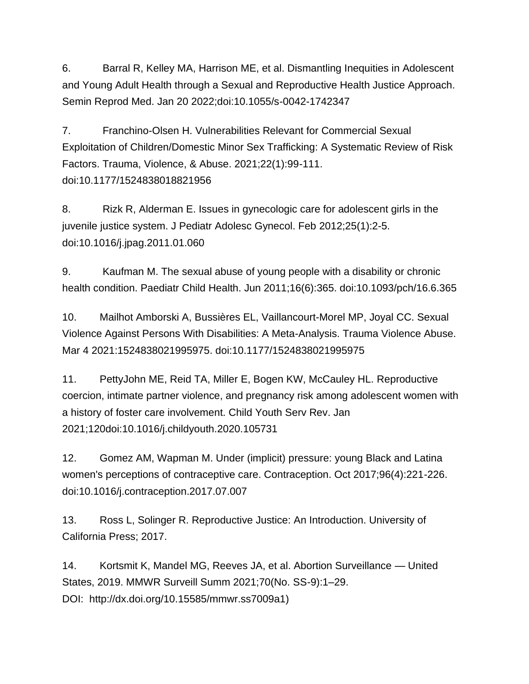6. Barral R, Kelley MA, Harrison ME, et al. Dismantling Inequities in Adolescent and Young Adult Health through a Sexual and Reproductive Health Justice Approach. Semin Reprod Med. Jan 20 2022;doi:10.1055/s-0042-1742347

7. Franchino-Olsen H. Vulnerabilities Relevant for Commercial Sexual Exploitation of Children/Domestic Minor Sex Trafficking: A Systematic Review of Risk Factors. Trauma, Violence, & Abuse. 2021;22(1):99-111. doi:10.1177/1524838018821956

8. Rizk R, Alderman E. Issues in gynecologic care for adolescent girls in the juvenile justice system. J Pediatr Adolesc Gynecol. Feb 2012;25(1):2-5. doi:10.1016/j.jpag.2011.01.060

9. Kaufman M. The sexual abuse of young people with a disability or chronic health condition. Paediatr Child Health. Jun 2011;16(6):365. doi:10.1093/pch/16.6.365

10. Mailhot Amborski A, Bussières EL, Vaillancourt-Morel MP, Joyal CC. Sexual Violence Against Persons With Disabilities: A Meta-Analysis. Trauma Violence Abuse. Mar 4 2021:1524838021995975. doi:10.1177/1524838021995975

11. PettyJohn ME, Reid TA, Miller E, Bogen KW, McCauley HL. Reproductive coercion, intimate partner violence, and pregnancy risk among adolescent women with a history of foster care involvement. Child Youth Serv Rev. Jan 2021;120doi:10.1016/j.childyouth.2020.105731

12. Gomez AM, Wapman M. Under (implicit) pressure: young Black and Latina women's perceptions of contraceptive care. Contraception. Oct 2017;96(4):221-226. doi:10.1016/j.contraception.2017.07.007

13. Ross L, Solinger R. Reproductive Justice: An Introduction. University of California Press; 2017.

14. Kortsmit K, Mandel MG, Reeves JA, et al. Abortion Surveillance — United States, 2019. MMWR Surveill Summ 2021;70(No. SS-9):1–29. DOI: http://dx.doi.org/10.15585/mmwr.ss7009a1)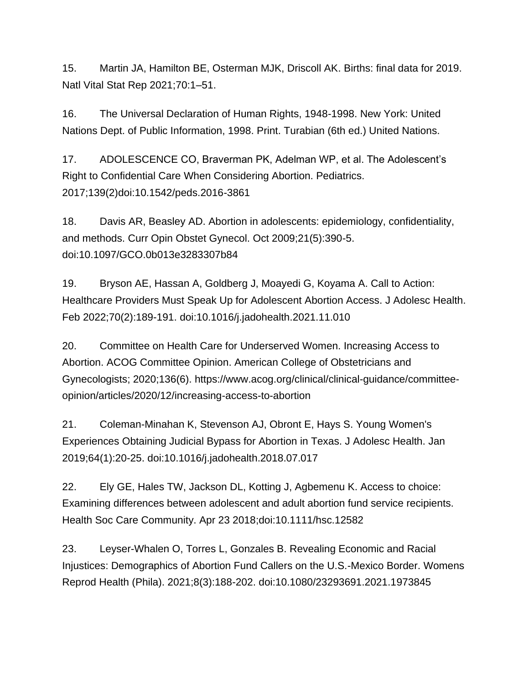15. Martin JA, Hamilton BE, Osterman MJK, Driscoll AK. Births: final data for 2019. Natl Vital Stat Rep 2021;70:1–51.

16. The Universal Declaration of Human Rights, 1948-1998. New York: United Nations Dept. of Public Information, 1998. Print. Turabian (6th ed.) United Nations.

17. ADOLESCENCE CO, Braverman PK, Adelman WP, et al. The Adolescent's Right to Confidential Care When Considering Abortion. Pediatrics. 2017;139(2)doi:10.1542/peds.2016-3861

18. Davis AR, Beasley AD. Abortion in adolescents: epidemiology, confidentiality, and methods. Curr Opin Obstet Gynecol. Oct 2009;21(5):390-5. doi:10.1097/GCO.0b013e3283307b84

19. Bryson AE, Hassan A, Goldberg J, Moayedi G, Koyama A. Call to Action: Healthcare Providers Must Speak Up for Adolescent Abortion Access. J Adolesc Health. Feb 2022;70(2):189-191. doi:10.1016/j.jadohealth.2021.11.010

20. Committee on Health Care for Underserved Women. Increasing Access to Abortion. ACOG Committee Opinion. American College of Obstetricians and Gynecologists; 2020;136(6). https://www.acog.org/clinical/clinical-guidance/committeeopinion/articles/2020/12/increasing-access-to-abortion

21. Coleman-Minahan K, Stevenson AJ, Obront E, Hays S. Young Women's Experiences Obtaining Judicial Bypass for Abortion in Texas. J Adolesc Health. Jan 2019;64(1):20-25. doi:10.1016/j.jadohealth.2018.07.017

22. Ely GE, Hales TW, Jackson DL, Kotting J, Agbemenu K. Access to choice: Examining differences between adolescent and adult abortion fund service recipients. Health Soc Care Community. Apr 23 2018;doi:10.1111/hsc.12582

23. Leyser-Whalen O, Torres L, Gonzales B. Revealing Economic and Racial Injustices: Demographics of Abortion Fund Callers on the U.S.-Mexico Border. Womens Reprod Health (Phila). 2021;8(3):188-202. doi:10.1080/23293691.2021.1973845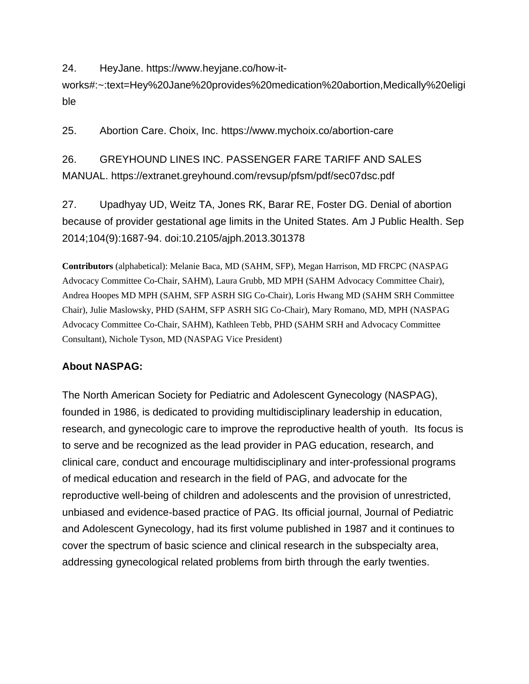24. HeyJane. https://www.heyjane.co/how-it-

works#:~:text=Hey%20Jane%20provides%20medication%20abortion,Medically%20eligi ble

25. Abortion Care. Choix, Inc. https://www.mychoix.co/abortion-care

26. GREYHOUND LINES INC. PASSENGER FARE TARIFF AND SALES MANUAL. https://extranet.greyhound.com/revsup/pfsm/pdf/sec07dsc.pdf

27. Upadhyay UD, Weitz TA, Jones RK, Barar RE, Foster DG. Denial of abortion because of provider gestational age limits in the United States. Am J Public Health. Sep 2014;104(9):1687-94. doi:10.2105/ajph.2013.301378

**Contributors** (alphabetical): Melanie Baca, MD (SAHM, SFP), Megan Harrison, MD FRCPC (NASPAG Advocacy Committee Co-Chair, SAHM), Laura Grubb, MD MPH (SAHM Advocacy Committee Chair), Andrea Hoopes MD MPH (SAHM, SFP ASRH SIG Co-Chair), Loris Hwang MD (SAHM SRH Committee Chair), Julie Maslowsky, PHD (SAHM, SFP ASRH SIG Co-Chair), Mary Romano, MD, MPH (NASPAG Advocacy Committee Co-Chair, SAHM), Kathleen Tebb, PHD (SAHM SRH and Advocacy Committee Consultant), Nichole Tyson, MD (NASPAG Vice President)

### **About NASPAG:**

The North American Society for Pediatric and Adolescent Gynecology (NASPAG), founded in 1986, is dedicated to providing multidisciplinary leadership in education, research, and gynecologic care to improve the reproductive health of youth. Its focus is to serve and be recognized as the lead provider in PAG education, research, and clinical care, conduct and encourage multidisciplinary and inter-professional programs of medical education and research in the field of PAG, and advocate for the reproductive well-being of children and adolescents and the provision of unrestricted, unbiased and evidence-based practice of PAG. Its official journal, Journal of Pediatric and Adolescent Gynecology, had its first volume published in 1987 and it continues to cover the spectrum of basic science and clinical research in the subspecialty area, addressing gynecological related problems from birth through the early twenties.